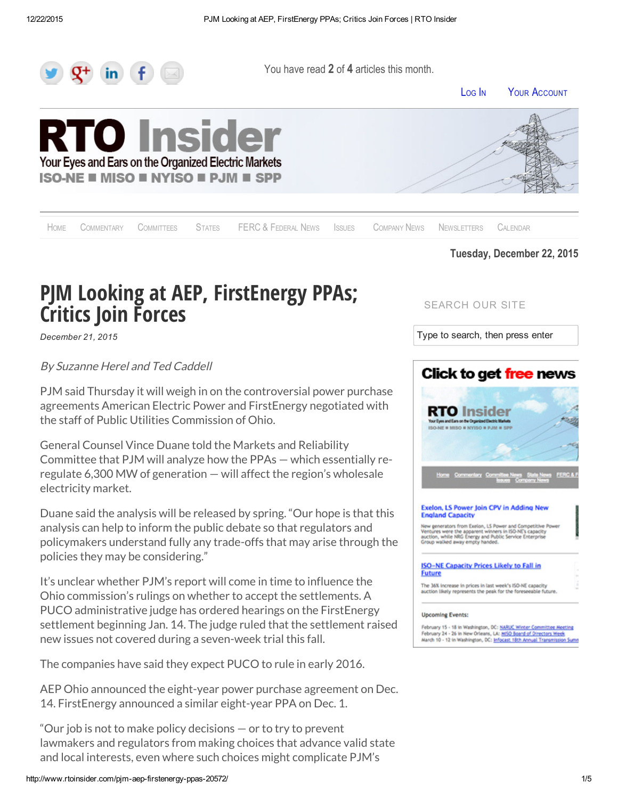

You have read 2 of 4 articles this month.

L[OG](http://www.rtoinsider.com/wp-login.php) IN YOUR A[CCOUNT](http://www.rtoinsider.com/membership-account/)





H[OME](http://www.rtoinsider.com/) C[OMMENTARY](http://www.rtoinsider.com/commentary/) C[OMMITTEES](http://www.rtoinsider.com/committee_news/) S[TATES](http://www.rtoinsider.com/state_news/) [FERC](http://www.rtoinsider.com/ferc__federal_news/) & FEDERAL NEWS I[SSUES](http://www.rtoinsider.com/major_issues/) C[OMPANY](http://www.rtoinsider.com/company-news/) NEWS N[EWSLETTERS](http://www.rtoinsider.com/newsletter-archive/) C[ALENDAR](http://www.rtoinsider.com/skedevents)

SEARCH OUR SITE

Type to search, then press enter

#### Tuesday, December 22, 2015

# PJM Looking at AEP, FirstEnergy PPAs; Critics Join Forces

*December 21, 2015*

#### By Suzanne Herel and Ted Caddell

PJM said Thursday it will weigh in on the controversial power purchase agreements American Electric Power and FirstEnergy negotiated with the staff of Public Utilities Commission of Ohio.

General Counsel Vince Duane told the Markets and Reliability Committee that PJM will analyze how the PPAs — which essentially reregulate 6,300 MW of generation — will affect the region's wholesale electricity market.

Duane said the analysis will be released by spring. "Our hope is that this analysis can help to inform the public debate so that regulators and policymakers understand fully any trade-offs that may arise through the policies they may be considering."

It's unclear whether PJM's report will come in time to influence the Ohio commission's rulings on whether to accept the settlements. A PUCO administrative judge has ordered hearings on the FirstEnergy settlement beginning Jan. 14. The judge ruled that the settlement raised new issues not covered during a seven-week trial this fall.

The companies have said they expect PUCO to rule in early 2016.

AEP Ohio announced the eight-year power purchase agreement on Dec. 14. FirstEnergy announced a similar eight-year PPA on Dec. 1.

"Our job is not to make policy decisions — or to try to prevent lawmakers and regulators from making choices that advance valid state and local interests, even where such choices might complicate PJM's

http://www.rtoinsider.com/pjm-aep-firstenergy-ppas-20572/ 1/5



#### Exelon, LS Power Join CPV in Adding New **England Capacity**

New generators from Exelon, LS Power and Competitive Po<br>Ventures were the apparent winners in ISO-NE's capacity New generators from Exelon, LS Power and Competitive<br>Ventures were the apparent winners in ISO-NE's capacity<br>auction, while NRG Energy and Public Service Enterprise<br>Group walked away empty handed.

**ISO-NE Capacity Prices Likely to Fall in Future** 

The 36% increase in prices in last week's ISO-NE capacity<br>auction likely represents the peak for the foreseeable futs

#### **Upcoming Events:**

February 15 - 18 in Washington, DC: <u>NARUC Winter Committee Meeting</u><br>February 24 - 26 in New Orleans, LA: <u>MISO Board of Directors Week</u><br>March 10 - 12 in Washington, DC: <u>Infocast 18th Annual Transmission Sumn</u>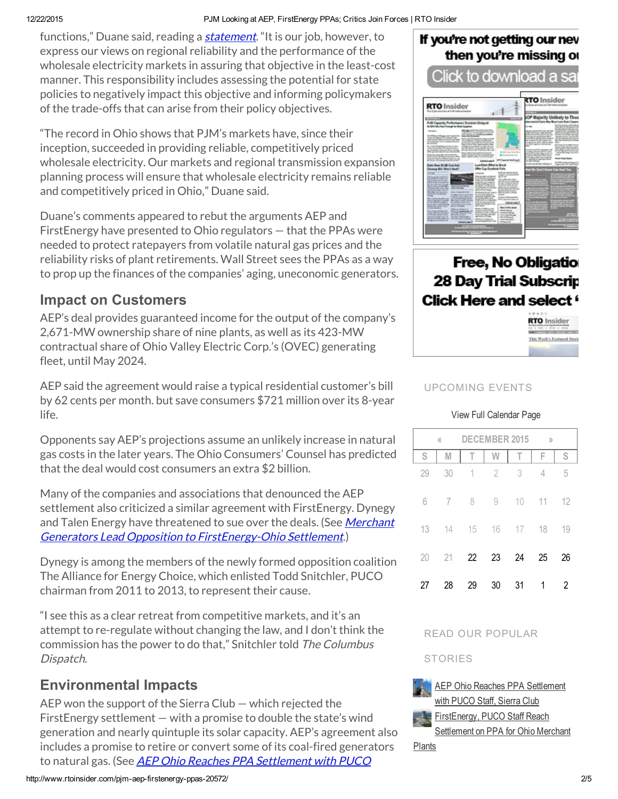#### 12/22/2015 PJM Looking at AEP, FirstEnergy PPAs; Critics Join Forces | RTO Insider

functions," Duane said, reading a *[statement](http://pjm.com/~/media/committees-groups/committees/mrc/20151217/20151217-pjm-statement-to-mrc-on-state-initiatives.ashx)*. "It is our job, however, to express our views on regional reliability and the performance of the wholesale electricity markets in assuring that objective in the least-cost manner. This responsibility includes assessing the potential for state policies to negatively impact this objective and informing policymakers of the trade-offs that can arise from their policy objectives.

"The record in Ohio shows that PJM's markets have, since their inception, succeeded in providing reliable, competitively priced wholesale electricity. Our markets and regional transmission expansion planning process will ensure that wholesale electricity remains reliable and competitively priced in Ohio," Duane said.

Duane's comments appeared to rebut the arguments AEP and FirstEnergy have presented to Ohio regulators — that the PPAs were needed to protect ratepayers from volatile natural gas prices and the reliability risks of plant retirements. Wall Street sees the PPAs as a way to prop up the finances of the companies' aging, uneconomic generators.

## Impact on Customers

AEP's deal provides guaranteed income for the output of the company's 2,671-MW ownership share of nine plants, as well as its 423-MW contractual share of Ohio Valley Electric Corp.'s (OVEC) generating fleet, until May 2024.

AEP said the agreement would raise a typical residential customer's bill by 62 cents per month. but save consumers \$721 million over its 8-year life.

Opponents say AEP's projections assume an unlikely increase in natural gas costs in the later years. The Ohio Consumers' Counsel has predicted that the deal would cost consumers an extra \$2 billion.

Many of the companies and associations that denounced the AEP settlement also criticized a similar agreement with FirstEnergy. Dynegy and Talen Energy have threatened to sue over the deals. (See Merchant Generators Lead Opposition to [FirstEnergy-Ohio](http://www.rtoinsider.com/firstenergy-ohio-settlement-20244/) Settlement.)

Dynegy is among the members of the newly formed opposition coalition The Alliance for Energy Choice, which enlisted Todd Snitchler, PUCO chairman from 2011 to 2013, to represent their cause.

"I see this as a clear retreat from competitive markets, and it's an attempt to re-regulate without changing the law, and I don't think the commission has the power to do that," Snitchler told The Columbus Dispatch.

## Environmental Impacts

AEP won the support of the Sierra Club — which rejected the FirstEnergy settlement — with a promise to double the state's wind generation and nearly quintuple its solar capacity. AEP's agreement also includes a promise to retire or convert some of its coal-fired generators to natural gas. (See AEP Ohio Reaches PPA [Settlement](http://www.rtoinsider.com/aep-ohio-puco-ppa-20455/) with PUCO

#### http://www.rtoinsider.com/pjmaepfirstenergyppas20572/ 2/5

## If you're not getting our nev then you're missing or

Click to download a sa



# Free, No Obligatio **28 Day Trial Subscrip** Click Here and select "



#### UPCOMING EVENTS

#### View Full [Calendar](http://www.rtoinsider.com/skedevents/) Page

| $\langle\langle$ |    | <b>DECEMBER 2015</b>     |                |    | $\rangle$ |    |
|------------------|----|--------------------------|----------------|----|-----------|----|
| S                | M  | T                        | W              | T  | F         | S  |
| 29               | 30 | $\overline{\phantom{a}}$ | $\overline{2}$ | 3  | 4         | 5  |
| 6                | 7  | 8                        | 9              | 10 | 11        | 12 |
| 13               | 14 | 15                       | 16             | 17 | 18        | 19 |
| 20               | 21 | 22                       | 23             | 24 | 25        | 26 |
| 27               | 28 | 29                       | 30             | 31 | 1         | 2  |

#### READ OUR POPULAR

#### **STORIES**



最も

AEP Ohio Reaches PPA [Settlement](http://www.rtoinsider.com/aep-ohio-puco-ppa-20455/) with PUCO Staff, Sierra Club [FirstEnergy,](http://www.rtoinsider.com/firstenergy-puco-settlement-20097/) PUCO Staff Reach

Settlement on PPA for Ohio Merchant

Plants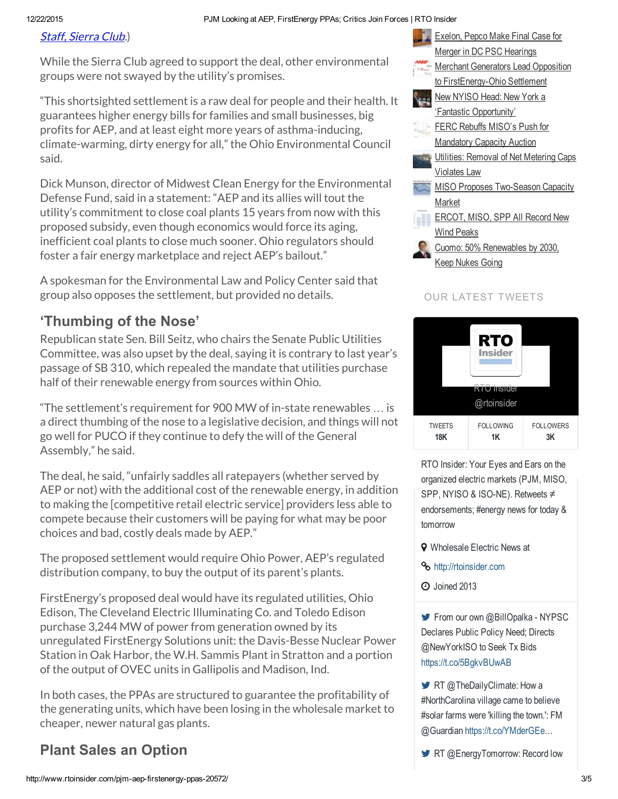### Staff, [Sierra](http://www.rtoinsider.com/aep-ohio-puco-ppa-20455/) Club.)

While the Sierra Club agreed to support the deal, other environmental groups were not swayed by the utility's promises.

"This shortsighted settlement is a raw deal for people and their health. It guarantees higher energy bills for families and small businesses, big profits for AEP, and at least eight more years of asthma-inducing, climate-warming, dirty energy for all," the Ohio Environmental Council said.

Dick Munson, director of Midwest Clean Energy for the Environmental Defense Fund, said in a statement: "AEP and its allies will tout the utility's commitment to close coal plants 15 years from now with this proposed subsidy, even though economics would force its aging, inefficient coal plants to close much sooner. Ohio regulators should foster a fair energy marketplace and reject AEP's bailout."

A spokesman for the Environmental Law and Policy Center said that group also opposes the settlement, but provided no details.

# 'Thumbing of the Nose'

Republican state Sen. Bill Seitz, who chairs the Senate Public Utilities Committee, was also upset by the deal, saying it is contrary to last year's passage of SB 310, which repealed the mandate that utilities purchase half of their renewable energy from sources within Ohio.

"The settlement's requirement for 900 MW of in-state renewables … is a direct thumbing of the nose to a legislative decision, and things will not go well for PUCO if they continue to defy the will of the General Assembly," he said.

The deal, he said, "unfairly saddles all ratepayers (whether served by AEP or not) with the additional cost of the renewable energy, in addition to making the [competitive retail electric service] providers less able to compete because their customers will be paying for what may be poor choices and bad, costly deals made by AEP."

The proposed settlement would require Ohio Power, AEP's regulated distribution company, to buy the output of its parent's plants.

FirstEnergy's proposed deal would have its regulated utilities, Ohio Edison, The Cleveland Electric Illuminating Co. and Toledo Edison purchase 3,244 MW of power from generation owned by its unregulated FirstEnergy Solutions unit: the Davis-Besse Nuclear Power Station in Oak Harbor, the W.H. Sammis Plant in Stratton and a portion of the output of OVEC units in Gallipolis and Madison, Ind.

In both cases, the PPAs are structured to guarantee the profitability of the generating units, which have been losing in the wholesale market to cheaper, newer natural gas plants.

# Plant Sales an Option



#### OUR LATEST TWEETS



RTO Insider: Your Eyes and Ears on the organized electric markets (PJM, MISO, SPP, NYISO & ISO-NE). Retweets ≠ endorsements; #energy news for today & tomorrow

- **Q** Wholesale Electric News at
- **%** [http://rtoinsider.com](http://rtoinsider.com/)
- $\Theta$  Joined 2013

From our own @BillOpalka - NYPSC Declares Public Policy Need; Directs @NewYorkISO to Seek Tx Bids <https://t.co/5BgkvBUwAB>

RT @TheDailyClimate: How a #NorthCarolina village came to believe #solar farms were 'killing the town.': FM @Guardian [https://t.co/YMderGEe…](https://t.co/YMderGEe)

RT @EnergyTomorrow: Record low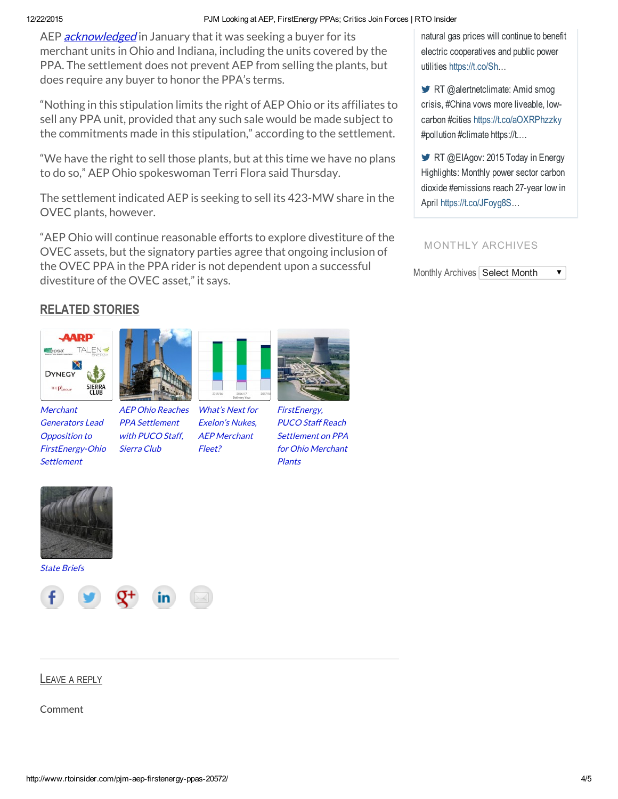#### 12/22/2015 PJM Looking at AEP, FirstEnergy PPAs; Critics Join Forces | RTO Insider

AEP **[acknowledged](http://www.rtoinsider.com/aep-merchant-gen-sale-12300/)** in January that it was seeking a buyer for its merchant units in Ohio and Indiana, including the units covered by the PPA. The settlement does not prevent AEP from selling the plants, but does require any buyer to honor the PPA's terms.

"Nothing in this stipulation limits the right of AEP Ohio or its affiliates to sell any PPA unit, provided that any such sale would be made subject to the commitments made in this stipulation," according to the settlement.

"We have the right to sell those plants, but at this time we have no plans to do so," AEP Ohio spokeswoman Terri Flora said Thursday.

The settlement indicated AEP is seeking to sell its 423-MW share in the OVEC plants, however.

"AEP Ohio will continue reasonable efforts to explore divestiture of the OVEC assets, but the signatory parties agree that ongoing inclusion of the OVEC PPA in the PPA rider is not dependent upon a successful divestiture of the OVEC asset," it says.

natural gas prices will continue to benefit electric cooperatives and public power utilities [https://t.co/Sh…](https://t.co/Sh)

RT @alertnetclimate: Amid smog crisis, #China vows more liveable, lowcarbon #cities <https://t.co/aOXRPhzzky> #pollution #climate https://t.…

RT @EIAgov: 2015 Today in Energy Highlights: Monthly power sector carbon dioxide #emissions reach 27-year low in April <https://t.co/JFoyg8S>…

#### MONTHLY ARCHIVES

Monthly Archives Select Month  $\blacktriangledown$ 

### RELATED STORIES



**Merchant** Generators Lead Opposition to [FirstEnergy-Ohio](http://www.rtoinsider.com/firstenergy-ohio-settlement-20244/) **Settlement** 



with PUCO Staff, Sierra Club



What's Next for Exelon's Nukes,

[FirstEnergy,](http://www.rtoinsider.com/firstenergy-puco-settlement-20097/) PUCO Staff Reach Settlement on PPA for Ohio Merchant

Plants

State [Briefs](http://www.rtoinsider.com/state-briefs-14-21/)





LEAVE A REPLY

Comment